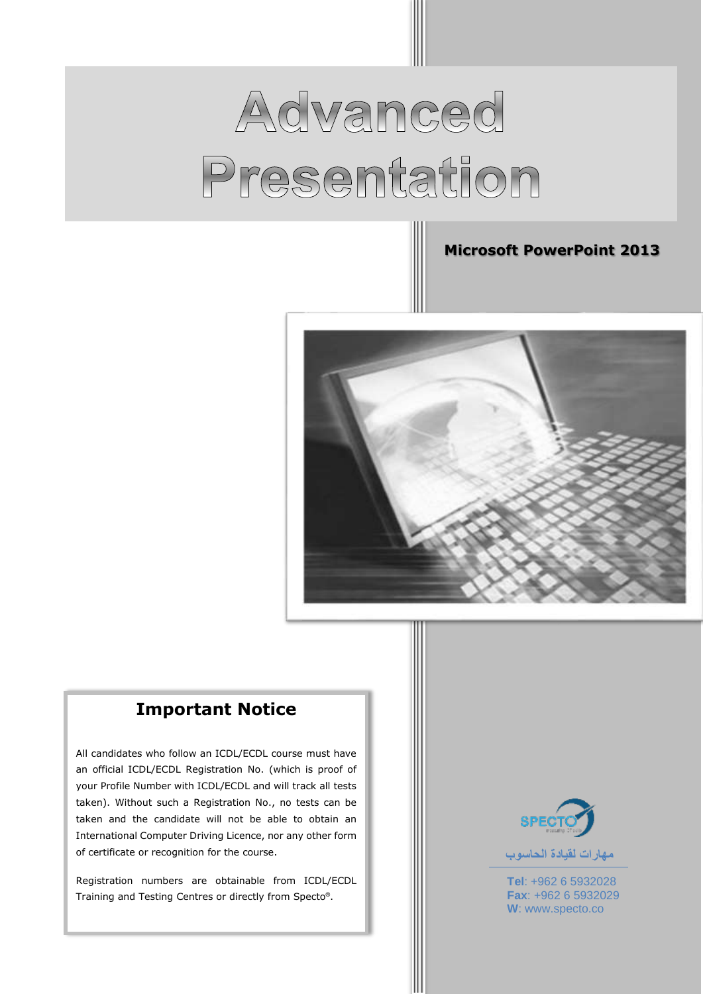# Advanced Presentation

#### **Microsoft PowerPoint 2013**



## **Important Notice**

All candidates who follow an ICDL/ECDL course must have an official ICDL/ECDL Registration No. (which is proof of your Profile Number with ICDL/ECDL and will track all tests taken). Without such a Registration No., no tests can be taken and the candidate will not be able to obtain an International Computer Driving Licence, nor any other form of certificate or recognition for the course.

Registration numbers are obtainable from ICDL/ECDL Training and Testing Centres or directly from Specto® .



**Tel**: +962 6 5932028

**Fax**: +962 6 5932029 **W**: www.specto.co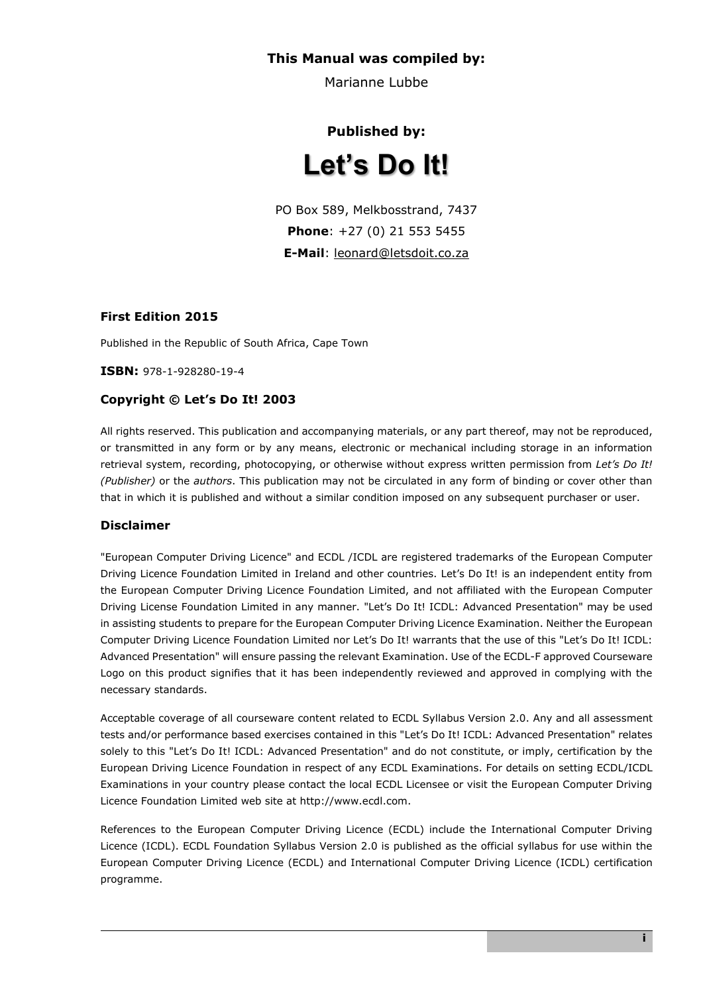#### **This Manual was compiled by:**

Marianne Lubbe

## **Published by: Let's Do It!**

PO Box 589, Melkbosstrand, 7437 **Phone**: +27 (0) 21 553 5455 **E-Mail**: [leonard@letsdoit.co.za](mailto:leonard@letsdoit.co.za)

#### **First Edition 2015**

Published in the Republic of South Africa, Cape Town

**ISBN:** 978-1-928280-19-4

#### **Copyright © Let's Do It! 2003**

All rights reserved. This publication and accompanying materials, or any part thereof, may not be reproduced, or transmitted in any form or by any means, electronic or mechanical including storage in an information retrieval system, recording, photocopying, or otherwise without express written permission from *Let's Do It! (Publisher)* or the *authors*. This publication may not be circulated in any form of binding or cover other than that in which it is published and without a similar condition imposed on any subsequent purchaser or user.

#### **Disclaimer**

"European Computer Driving Licence" and ECDL /ICDL are registered trademarks of the European Computer Driving Licence Foundation Limited in Ireland and other countries. Let's Do It! is an independent entity from the European Computer Driving Licence Foundation Limited, and not affiliated with the European Computer Driving License Foundation Limited in any manner. "Let's Do It! ICDL: Advanced Presentation" may be used in assisting students to prepare for the European Computer Driving Licence Examination. Neither the European Computer Driving Licence Foundation Limited nor Let's Do It! warrants that the use of this "Let's Do It! ICDL: Advanced Presentation" will ensure passing the relevant Examination. Use of the ECDL-F approved Courseware Logo on this product signifies that it has been independently reviewed and approved in complying with the necessary standards.

Acceptable coverage of all courseware content related to ECDL Syllabus Version 2.0. Any and all assessment tests and/or performance based exercises contained in this "Let's Do It! ICDL: Advanced Presentation" relates solely to this "Let's Do It! ICDL: Advanced Presentation" and do not constitute, or imply, certification by the European Driving Licence Foundation in respect of any ECDL Examinations. For details on setting ECDL/ICDL Examinations in your country please contact the local ECDL Licensee or visit the European Computer Driving Licence Foundation Limited web site at http://www.ecdl.com.

References to the European Computer Driving Licence (ECDL) include the International Computer Driving Licence (ICDL). ECDL Foundation Syllabus Version 2.0 is published as the official syllabus for use within the European Computer Driving Licence (ECDL) and International Computer Driving Licence (ICDL) certification programme.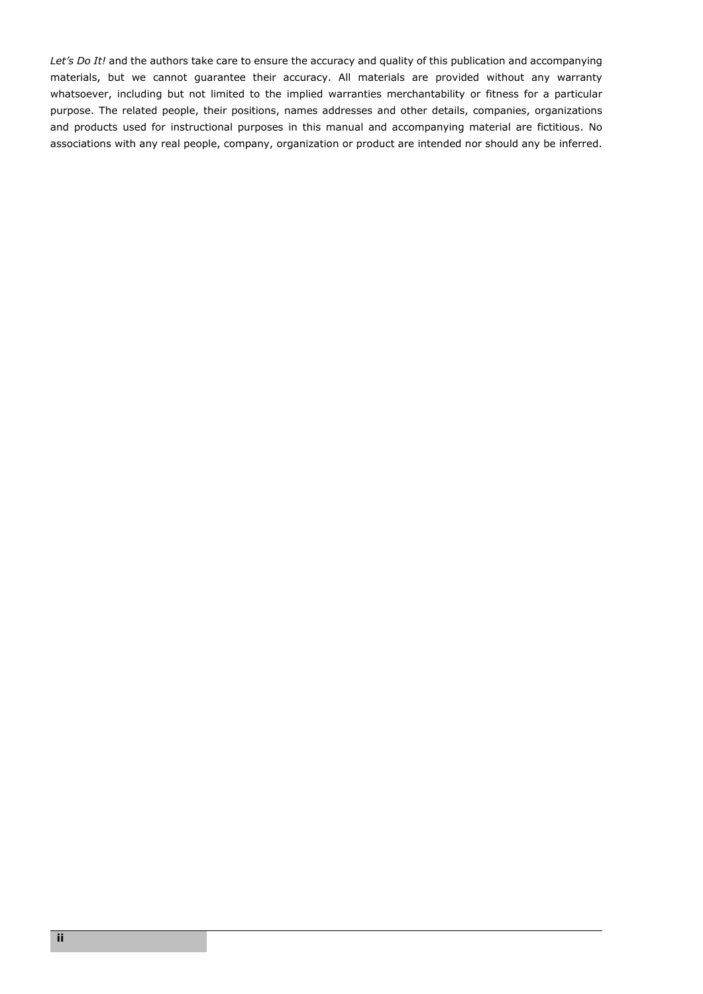*Let's Do It!* and the authors take care to ensure the accuracy and quality of this publication and accompanying materials, but we cannot guarantee their accuracy. All materials are provided without any warranty whatsoever, including but not limited to the implied warranties merchantability or fitness for a particular purpose. The related people, their positions, names addresses and other details, companies, organizations and products used for instructional purposes in this manual and accompanying material are fictitious. No associations with any real people, company, organization or product are intended nor should any be inferred.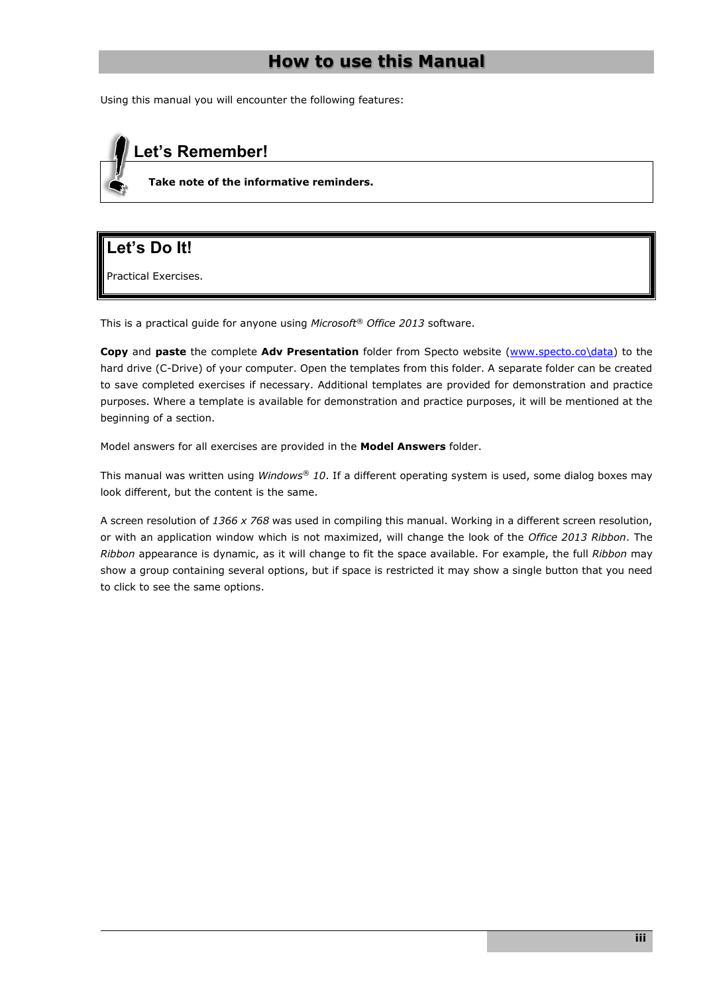## **How to use this Manual**

Using this manual you will encounter the following features:

## **Let's Remember!**

**Take note of the informative reminders.**

## **Let's Do It!**

Practical Exercises.

This is a practical guide for anyone using *Microsoft® Office 2013* software.

**Copy** and **paste** the complete **Adv Presentation** folder from Specto website [\(www.specto.co\data\)](http://www.specto.co/data) to the hard drive (C-Drive) of your computer. Open the templates from this folder. A separate folder can be created to save completed exercises if necessary. Additional templates are provided for demonstration and practice purposes. Where a template is available for demonstration and practice purposes, it will be mentioned at the beginning of a section.

Model answers for all exercises are provided in the **Model Answers** folder.

This manual was written using *Windows® 10*. If a different operating system is used, some dialog boxes may look different, but the content is the same.

A screen resolution of *1366 x 768* was used in compiling this manual. Working in a different screen resolution, or with an application window which is not maximized, will change the look of the *Office 2013 Ribbon*. The *Ribbon* appearance is dynamic, as it will change to fit the space available. For example, the full *Ribbon* may show a group containing several options, but if space is restricted it may show a single button that you need to click to see the same options.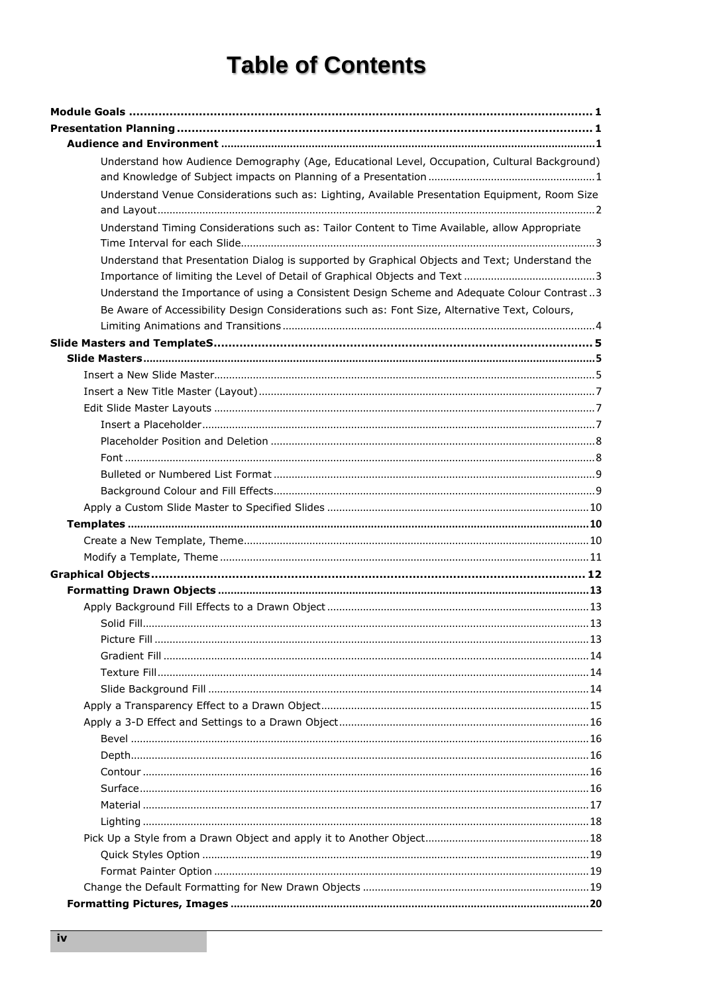## **Table of Contents**

| Understand how Audience Demography (Age, Educational Level, Occupation, Cultural Background)<br>Understand Venue Considerations such as: Lighting, Available Presentation Equipment, Room Size<br>Understand Timing Considerations such as: Tailor Content to Time Available, allow Appropriate<br>Understand that Presentation Dialog is supported by Graphical Objects and Text; Understand the<br>Understand the Importance of using a Consistent Design Scheme and Adequate Colour Contrast3<br>Be Aware of Accessibility Design Considerations such as: Font Size, Alternative Text, Colours, |
|----------------------------------------------------------------------------------------------------------------------------------------------------------------------------------------------------------------------------------------------------------------------------------------------------------------------------------------------------------------------------------------------------------------------------------------------------------------------------------------------------------------------------------------------------------------------------------------------------|
|                                                                                                                                                                                                                                                                                                                                                                                                                                                                                                                                                                                                    |
|                                                                                                                                                                                                                                                                                                                                                                                                                                                                                                                                                                                                    |
|                                                                                                                                                                                                                                                                                                                                                                                                                                                                                                                                                                                                    |
|                                                                                                                                                                                                                                                                                                                                                                                                                                                                                                                                                                                                    |
|                                                                                                                                                                                                                                                                                                                                                                                                                                                                                                                                                                                                    |
|                                                                                                                                                                                                                                                                                                                                                                                                                                                                                                                                                                                                    |
|                                                                                                                                                                                                                                                                                                                                                                                                                                                                                                                                                                                                    |
|                                                                                                                                                                                                                                                                                                                                                                                                                                                                                                                                                                                                    |
|                                                                                                                                                                                                                                                                                                                                                                                                                                                                                                                                                                                                    |
|                                                                                                                                                                                                                                                                                                                                                                                                                                                                                                                                                                                                    |
|                                                                                                                                                                                                                                                                                                                                                                                                                                                                                                                                                                                                    |
|                                                                                                                                                                                                                                                                                                                                                                                                                                                                                                                                                                                                    |
|                                                                                                                                                                                                                                                                                                                                                                                                                                                                                                                                                                                                    |
|                                                                                                                                                                                                                                                                                                                                                                                                                                                                                                                                                                                                    |
|                                                                                                                                                                                                                                                                                                                                                                                                                                                                                                                                                                                                    |
|                                                                                                                                                                                                                                                                                                                                                                                                                                                                                                                                                                                                    |
|                                                                                                                                                                                                                                                                                                                                                                                                                                                                                                                                                                                                    |
|                                                                                                                                                                                                                                                                                                                                                                                                                                                                                                                                                                                                    |
|                                                                                                                                                                                                                                                                                                                                                                                                                                                                                                                                                                                                    |
|                                                                                                                                                                                                                                                                                                                                                                                                                                                                                                                                                                                                    |
|                                                                                                                                                                                                                                                                                                                                                                                                                                                                                                                                                                                                    |
|                                                                                                                                                                                                                                                                                                                                                                                                                                                                                                                                                                                                    |
|                                                                                                                                                                                                                                                                                                                                                                                                                                                                                                                                                                                                    |
|                                                                                                                                                                                                                                                                                                                                                                                                                                                                                                                                                                                                    |
|                                                                                                                                                                                                                                                                                                                                                                                                                                                                                                                                                                                                    |
|                                                                                                                                                                                                                                                                                                                                                                                                                                                                                                                                                                                                    |
|                                                                                                                                                                                                                                                                                                                                                                                                                                                                                                                                                                                                    |
|                                                                                                                                                                                                                                                                                                                                                                                                                                                                                                                                                                                                    |
|                                                                                                                                                                                                                                                                                                                                                                                                                                                                                                                                                                                                    |
|                                                                                                                                                                                                                                                                                                                                                                                                                                                                                                                                                                                                    |
|                                                                                                                                                                                                                                                                                                                                                                                                                                                                                                                                                                                                    |
|                                                                                                                                                                                                                                                                                                                                                                                                                                                                                                                                                                                                    |
|                                                                                                                                                                                                                                                                                                                                                                                                                                                                                                                                                                                                    |
|                                                                                                                                                                                                                                                                                                                                                                                                                                                                                                                                                                                                    |
|                                                                                                                                                                                                                                                                                                                                                                                                                                                                                                                                                                                                    |
|                                                                                                                                                                                                                                                                                                                                                                                                                                                                                                                                                                                                    |
|                                                                                                                                                                                                                                                                                                                                                                                                                                                                                                                                                                                                    |
|                                                                                                                                                                                                                                                                                                                                                                                                                                                                                                                                                                                                    |
|                                                                                                                                                                                                                                                                                                                                                                                                                                                                                                                                                                                                    |
|                                                                                                                                                                                                                                                                                                                                                                                                                                                                                                                                                                                                    |
|                                                                                                                                                                                                                                                                                                                                                                                                                                                                                                                                                                                                    |
|                                                                                                                                                                                                                                                                                                                                                                                                                                                                                                                                                                                                    |
|                                                                                                                                                                                                                                                                                                                                                                                                                                                                                                                                                                                                    |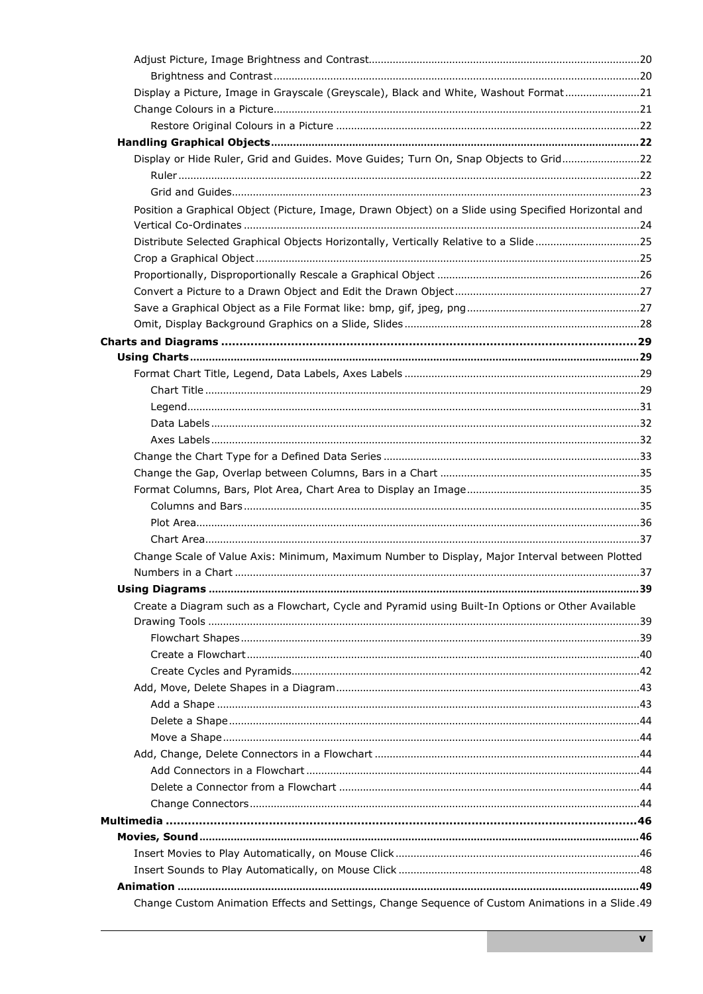| Display a Picture, Image in Grayscale (Greyscale), Black and White, Washout Format21                 |  |
|------------------------------------------------------------------------------------------------------|--|
|                                                                                                      |  |
|                                                                                                      |  |
|                                                                                                      |  |
| Display or Hide Ruler, Grid and Guides. Move Guides; Turn On, Snap Objects to Grid22                 |  |
|                                                                                                      |  |
|                                                                                                      |  |
| Position a Graphical Object (Picture, Image, Drawn Object) on a Slide using Specified Horizontal and |  |
|                                                                                                      |  |
| Distribute Selected Graphical Objects Horizontally, Vertically Relative to a Slide25                 |  |
|                                                                                                      |  |
|                                                                                                      |  |
|                                                                                                      |  |
|                                                                                                      |  |
|                                                                                                      |  |
|                                                                                                      |  |
|                                                                                                      |  |
|                                                                                                      |  |
|                                                                                                      |  |
|                                                                                                      |  |
|                                                                                                      |  |
|                                                                                                      |  |
|                                                                                                      |  |
|                                                                                                      |  |
|                                                                                                      |  |
|                                                                                                      |  |
|                                                                                                      |  |
|                                                                                                      |  |
| Change Scale of Value Axis: Minimum, Maximum Number to Display, Major Interval between Plotted       |  |
|                                                                                                      |  |
|                                                                                                      |  |
| Create a Diagram such as a Flowchart, Cycle and Pyramid using Built-In Options or Other Available    |  |
|                                                                                                      |  |
|                                                                                                      |  |
|                                                                                                      |  |
|                                                                                                      |  |
|                                                                                                      |  |
|                                                                                                      |  |
|                                                                                                      |  |
|                                                                                                      |  |
|                                                                                                      |  |
|                                                                                                      |  |
|                                                                                                      |  |
|                                                                                                      |  |
|                                                                                                      |  |
|                                                                                                      |  |
|                                                                                                      |  |
|                                                                                                      |  |
| Change Custom Animation Effects and Settings, Change Sequence of Custom Animations in a Slide.49     |  |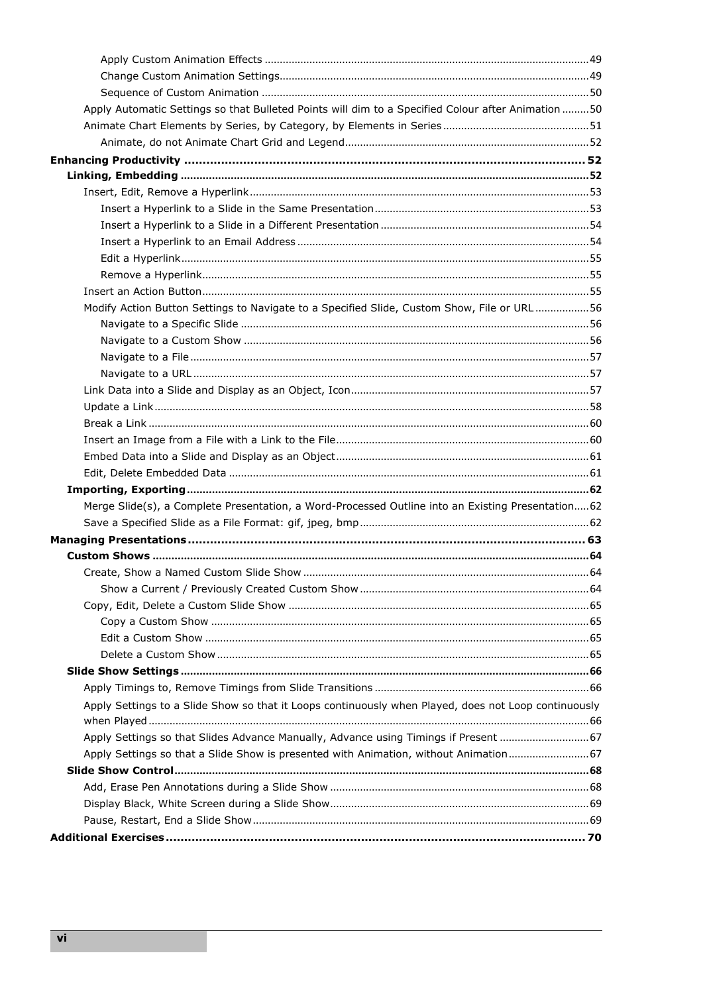| Apply Automatic Settings so that Bulleted Points will dim to a Specified Colour after Animation 50   |  |
|------------------------------------------------------------------------------------------------------|--|
|                                                                                                      |  |
|                                                                                                      |  |
|                                                                                                      |  |
|                                                                                                      |  |
|                                                                                                      |  |
|                                                                                                      |  |
|                                                                                                      |  |
|                                                                                                      |  |
|                                                                                                      |  |
|                                                                                                      |  |
|                                                                                                      |  |
| Modify Action Button Settings to Navigate to a Specified Slide, Custom Show, File or URL56           |  |
|                                                                                                      |  |
|                                                                                                      |  |
|                                                                                                      |  |
|                                                                                                      |  |
|                                                                                                      |  |
|                                                                                                      |  |
|                                                                                                      |  |
|                                                                                                      |  |
|                                                                                                      |  |
|                                                                                                      |  |
|                                                                                                      |  |
| Merge Slide(s), a Complete Presentation, a Word-Processed Outline into an Existing Presentation 62   |  |
|                                                                                                      |  |
|                                                                                                      |  |
|                                                                                                      |  |
|                                                                                                      |  |
|                                                                                                      |  |
|                                                                                                      |  |
|                                                                                                      |  |
|                                                                                                      |  |
|                                                                                                      |  |
|                                                                                                      |  |
|                                                                                                      |  |
| Apply Settings to a Slide Show so that it Loops continuously when Played, does not Loop continuously |  |
|                                                                                                      |  |
| Apply Settings so that Slides Advance Manually, Advance using Timings if Present  67                 |  |
| Apply Settings so that a Slide Show is presented with Animation, without Animation 67                |  |
|                                                                                                      |  |
|                                                                                                      |  |
|                                                                                                      |  |
|                                                                                                      |  |
|                                                                                                      |  |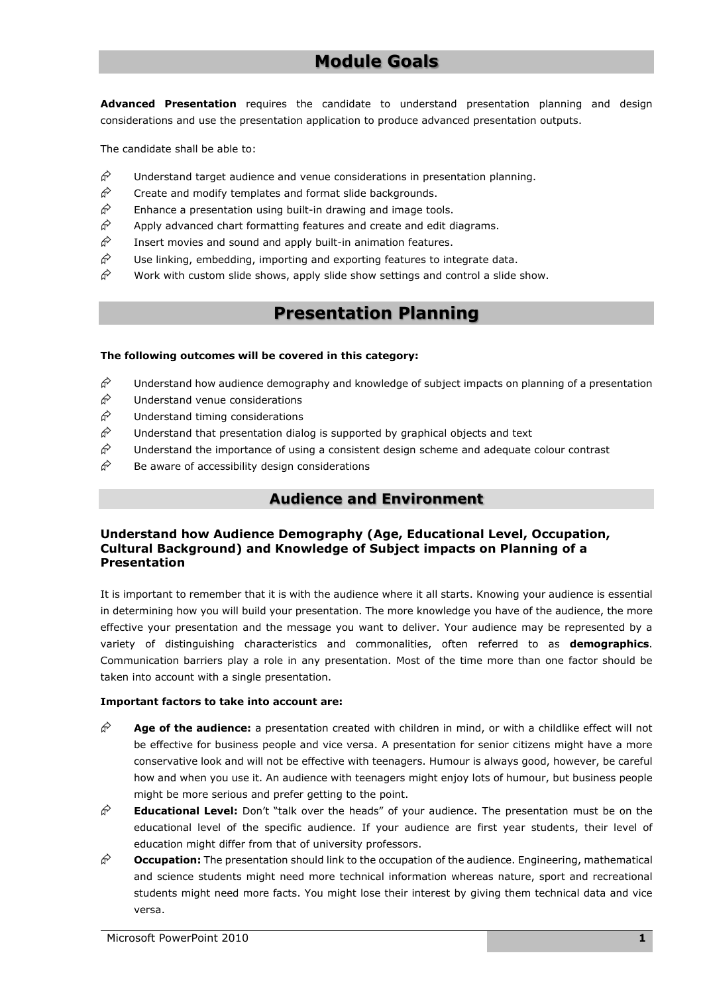## **Module Goals**

<span id="page-8-0"></span>**Advanced Presentation** requires the candidate to understand presentation planning and design considerations and use the presentation application to produce advanced presentation outputs.

The candidate shall be able to:

- $\hat{\phi}$  Understand target audience and venue considerations in presentation planning.
- $\hat{\varphi}$  Create and modify templates and format slide backgrounds.
- $\hat{\varphi}$  Enhance a presentation using built-in drawing and image tools.
- $\hat{\varphi}$  Apply advanced chart formatting features and create and edit diagrams.
- $\hat{\varphi}$  Insert movies and sound and apply built-in animation features.
- $\hat{\phi}$  Use linking, embedding, importing and exporting features to integrate data.
- <span id="page-8-1"></span> $\hat{\mathcal{C}}$  Work with custom slide shows, apply slide show settings and control a slide show.

## **Presentation Planning**

#### **The following outcomes will be covered in this category:**

- $\phi^{\diamond}$  Understand how audience demography and knowledge of subject impacts on planning of a presentation
- $\hat{\mathcal{C}}$  Understand venue considerations
- $\hat{\mathcal{C}}$  Understand timing considerations
- $\hat{\phi}$  Understand that presentation dialog is supported by graphical objects and text
- $\hat{\mathcal{C}}$  Understand the importance of using a consistent design scheme and adequate colour contrast
- <span id="page-8-2"></span> $\hat{\phi}$  Be aware of accessibility design considerations

#### **Audience and Environment**

#### <span id="page-8-3"></span>**Understand how Audience Demography (Age, Educational Level, Occupation, Cultural Background) and Knowledge of Subject impacts on Planning of a Presentation**

It is important to remember that it is with the audience where it all starts. Knowing your audience is essential in determining how you will build your presentation. The more knowledge you have of the audience, the more effective your presentation and the message you want to deliver. Your audience may be represented by a variety of distinguishing characteristics and commonalities, often referred to as **demographics**. Communication barriers play a role in any presentation. Most of the time more than one factor should be taken into account with a single presentation.

#### **Important factors to take into account are:**

- **Age of the audience:** a presentation created with children in mind, or with a childlike effect will not be effective for business people and vice versa. A presentation for senior citizens might have a more conservative look and will not be effective with teenagers. Humour is always good, however, be careful how and when you use it. An audience with teenagers might enjoy lots of humour, but business people might be more serious and prefer getting to the point.
- **Educational Level:** Don't "talk over the heads" of your audience. The presentation must be on the educational level of the specific audience. If your audience are first year students, their level of education might differ from that of university professors.
- **Occupation:** The presentation should link to the occupation of the audience. Engineering, mathematical and science students might need more technical information whereas nature, sport and recreational students might need more facts. You might lose their interest by giving them technical data and vice versa.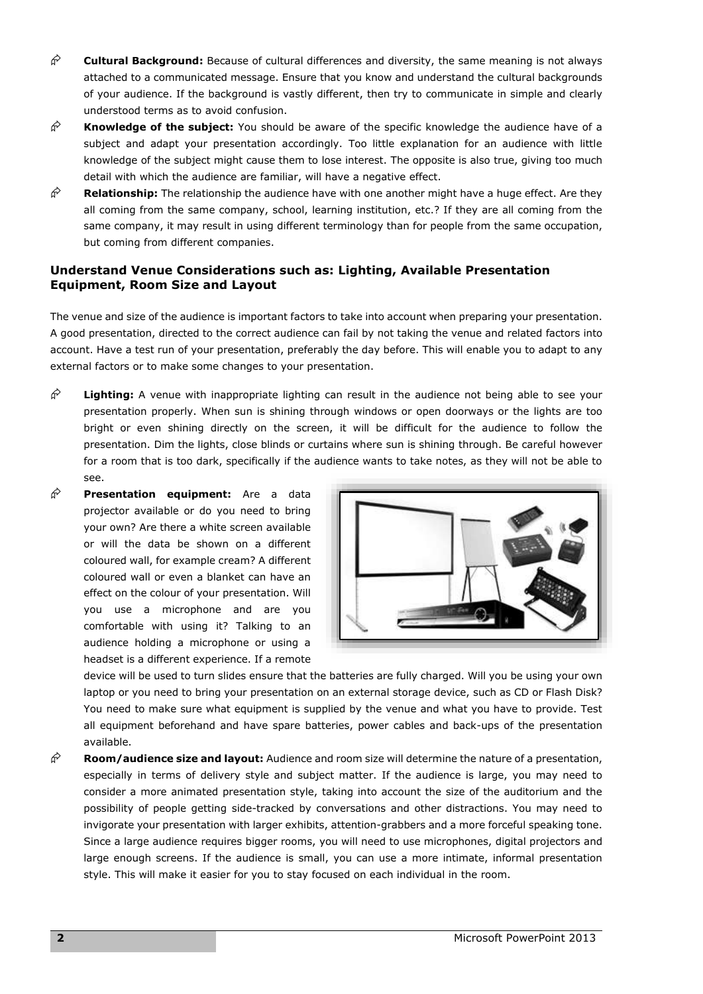- $\hat{\beta}$  **Cultural Background:** Because of cultural differences and diversity, the same meaning is not always attached to a communicated message. Ensure that you know and understand the cultural backgrounds of your audience. If the background is vastly different, then try to communicate in simple and clearly understood terms as to avoid confusion.
- $\hat{\mathcal{F}}$  **Knowledge of the subject:** You should be aware of the specific knowledge the audience have of a subject and adapt your presentation accordingly. Too little explanation for an audience with little knowledge of the subject might cause them to lose interest. The opposite is also true, giving too much detail with which the audience are familiar, will have a negative effect.
- **Relationship:** The relationship the audience have with one another might have a huge effect. Are they all coming from the same company, school, learning institution, etc.? If they are all coming from the same company, it may result in using different terminology than for people from the same occupation, but coming from different companies.

#### <span id="page-9-0"></span>**Understand Venue Considerations such as: Lighting, Available Presentation Equipment, Room Size and Layout**

The venue and size of the audience is important factors to take into account when preparing your presentation. A good presentation, directed to the correct audience can fail by not taking the venue and related factors into account. Have a test run of your presentation, preferably the day before. This will enable you to adapt to any external factors or to make some changes to your presentation.

- **Lighting:** A venue with inappropriate lighting can result in the audience not being able to see your presentation properly. When sun is shining through windows or open doorways or the lights are too bright or even shining directly on the screen, it will be difficult for the audience to follow the presentation. Dim the lights, close blinds or curtains where sun is shining through. Be careful however for a room that is too dark, specifically if the audience wants to take notes, as they will not be able to see.
- **Presentation equipment:** Are a data projector available or do you need to bring your own? Are there a white screen available or will the data be shown on a different coloured wall, for example cream? A different coloured wall or even a blanket can have an effect on the colour of your presentation. Will you use a microphone and are you comfortable with using it? Talking to an audience holding a microphone or using a headset is a different experience. If a remote



device will be used to turn slides ensure that the batteries are fully charged. Will you be using your own laptop or you need to bring your presentation on an external storage device, such as CD or Flash Disk? You need to make sure what equipment is supplied by the venue and what you have to provide. Test all equipment beforehand and have spare batteries, power cables and back-ups of the presentation available.

 **Room/audience size and layout:** Audience and room size will determine the nature of a presentation, especially in terms of delivery style and subject matter. If the audience is large, you may need to consider a more animated presentation style, taking into account the size of the auditorium and the possibility of people getting side-tracked by conversations and other distractions. You may need to invigorate your presentation with larger exhibits, attention-grabbers and a more forceful speaking tone. Since a large audience requires bigger rooms, you will need to use microphones, digital projectors and large enough screens. If the audience is small, you can use a more intimate, informal presentation style. This will make it easier for you to stay focused on each individual in the room.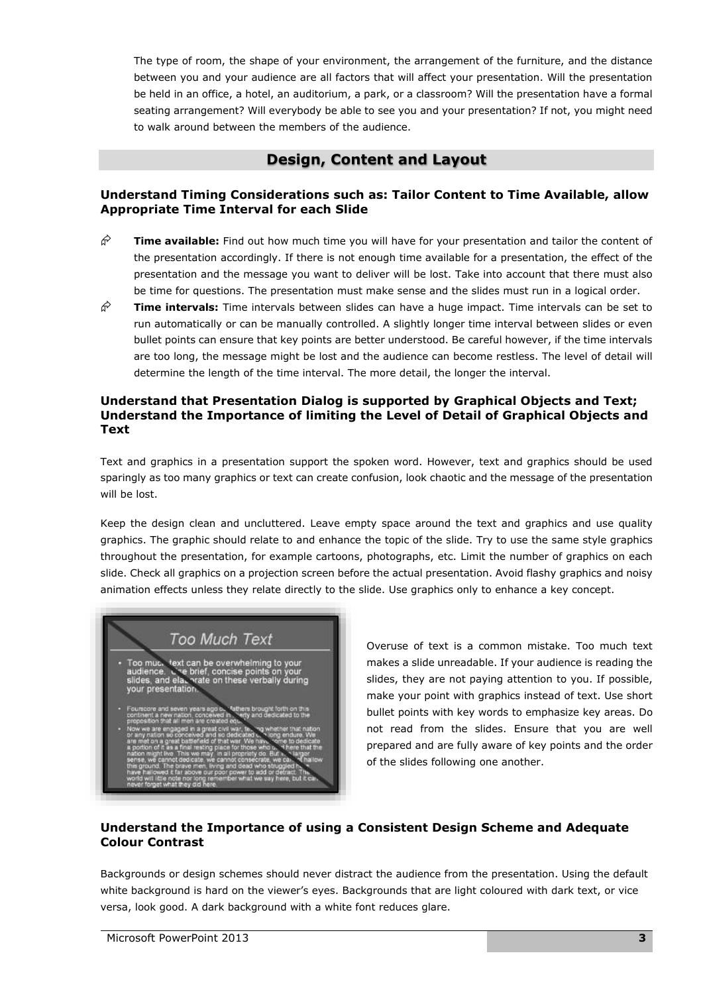The type of room, the shape of your environment, the arrangement of the furniture, and the distance between you and your audience are all factors that will affect your presentation. Will the presentation be held in an office, a hotel, an auditorium, a park, or a classroom? Will the presentation have a formal seating arrangement? Will everybody be able to see you and your presentation? If not, you might need to walk around between the members of the audience.

#### **Design, Content and Layout**

#### <span id="page-10-0"></span>**Understand Timing Considerations such as: Tailor Content to Time Available, allow Appropriate Time Interval for each Slide**

- $\hat{\mathcal{C}}$  **Time available:** Find out how much time you will have for your presentation and tailor the content of the presentation accordingly. If there is not enough time available for a presentation, the effect of the presentation and the message you want to deliver will be lost. Take into account that there must also be time for questions. The presentation must make sense and the slides must run in a logical order.
- **Time intervals:** Time intervals between slides can have a huge impact. Time intervals can be set to run automatically or can be manually controlled. A slightly longer time interval between slides or even bullet points can ensure that key points are better understood. Be careful however, if the time intervals are too long, the message might be lost and the audience can become restless. The level of detail will determine the length of the time interval. The more detail, the longer the interval.

#### <span id="page-10-1"></span>**Understand that Presentation Dialog is supported by Graphical Objects and Text; Understand the Importance of limiting the Level of Detail of Graphical Objects and Text**

Text and graphics in a presentation support the spoken word. However, text and graphics should be used sparingly as too many graphics or text can create confusion, look chaotic and the message of the presentation will be lost.

Keep the design clean and uncluttered. Leave empty space around the text and graphics and use quality graphics. The graphic should relate to and enhance the topic of the slide. Try to use the same style graphics throughout the presentation, for example cartoons, photographs, etc. Limit the number of graphics on each slide. Check all graphics on a projection screen before the actual presentation. Avoid flashy graphics and noisy animation effects unless they relate directly to the slide. Use graphics only to enhance a key concept.

## Too Much Text text can be overwhelming to your Too muc and ela

Overuse of text is a common mistake. Too much text makes a slide unreadable. If your audience is reading the slides, they are not paying attention to you. If possible, make your point with graphics instead of text. Use short bullet points with key words to emphasize key areas. Do not read from the slides. Ensure that you are well prepared and are fully aware of key points and the order of the slides following one another.

#### <span id="page-10-2"></span>**Understand the Importance of using a Consistent Design Scheme and Adequate Colour Contrast**

Backgrounds or design schemes should never distract the audience from the presentation. Using the default white background is hard on the viewer's eyes. Backgrounds that are light coloured with dark text, or vice versa, look good. A dark background with a white font reduces glare.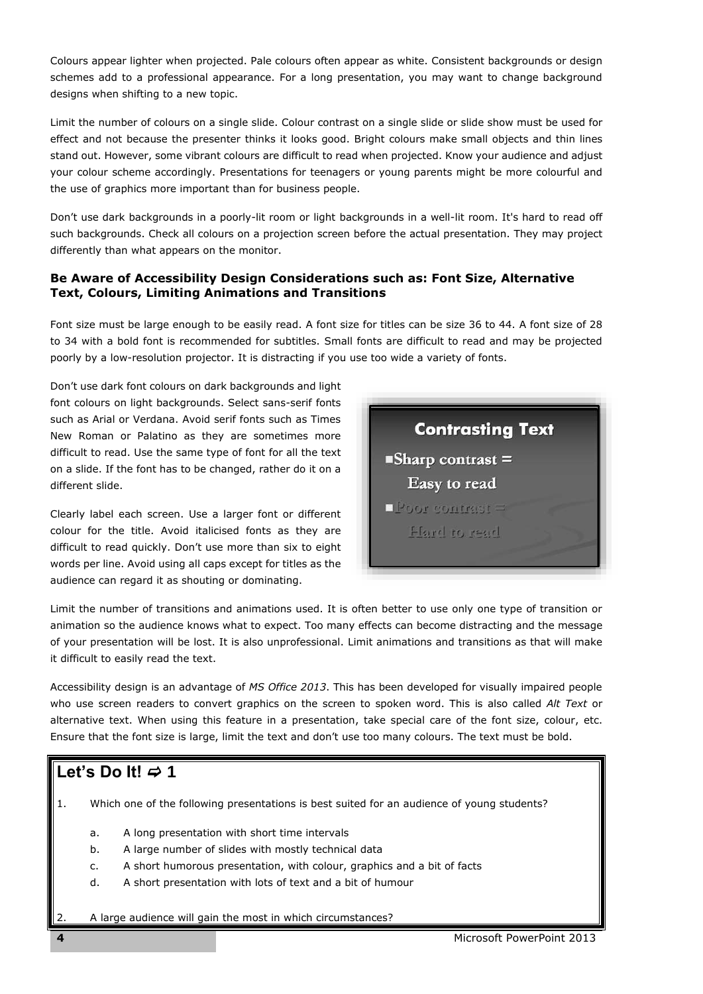Colours appear lighter when projected. Pale colours often appear as white. Consistent backgrounds or design schemes add to a professional appearance. For a long presentation, you may want to change background designs when shifting to a new topic.

Limit the number of colours on a single slide. Colour contrast on a single slide or slide show must be used for effect and not because the presenter thinks it looks good. Bright colours make small objects and thin lines stand out. However, some vibrant colours are difficult to read when projected. Know your audience and adjust your colour scheme accordingly. Presentations for teenagers or young parents might be more colourful and the use of graphics more important than for business people.

Don't use dark backgrounds in a poorly-lit room or light backgrounds in a well-lit room. It's hard to read off such backgrounds. Check all colours on a projection screen before the actual presentation. They may project differently than what appears on the monitor.

#### <span id="page-11-0"></span>**Be Aware of Accessibility Design Considerations such as: Font Size, Alternative Text, Colours, Limiting Animations and Transitions**

Font size must be large enough to be easily read. A font size for titles can be size 36 to 44. A font size of 28 to 34 with a bold font is recommended for subtitles. Small fonts are difficult to read and may be projected poorly by a low-resolution projector. It is distracting if you use too wide a variety of fonts.

Don't use dark font colours on dark backgrounds and light font colours on light backgrounds. Select sans-serif fonts such as Arial or Verdana. Avoid serif fonts such as Times New Roman or Palatino as they are sometimes more difficult to read. Use the same type of font for all the text on a slide. If the font has to be changed, rather do it on a different slide.

Clearly label each screen. Use a larger font or different colour for the title. Avoid italicised fonts as they are difficult to read quickly. Don't use more than six to eight words per line. Avoid using all caps except for titles as the audience can regard it as shouting or dominating.



Limit the number of transitions and animations used. It is often better to use only one type of transition or animation so the audience knows what to expect. Too many effects can become distracting and the message of your presentation will be lost. It is also unprofessional. Limit animations and transitions as that will make it difficult to easily read the text.

Accessibility design is an advantage of *MS Office 2013*. This has been developed for visually impaired people who use screen readers to convert graphics on the screen to spoken word. This is also called *Alt Text* or alternative text. When using this feature in a presentation, take special care of the font size, colour, etc. Ensure that the font size is large, limit the text and don't use too many colours. The text must be bold.

## Let's Do It!  $\neq$  1

- 1. Which one of the following presentations is best suited for an audience of young students?
	- a. A long presentation with short time intervals
	- b. A large number of slides with mostly technical data
	- c. A short humorous presentation, with colour, graphics and a bit of facts
	- d. A short presentation with lots of text and a bit of humour
	- 2. A large audience will gain the most in which circumstances?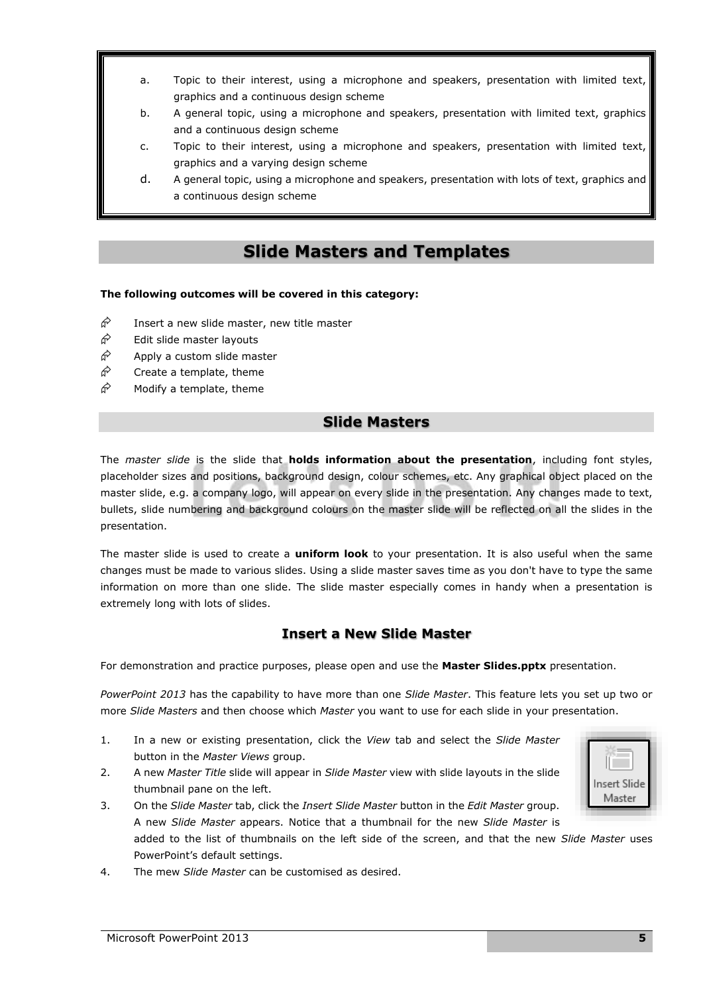- a. Topic to their interest, using a microphone and speakers, presentation with limited text, graphics and a continuous design scheme
- b. A general topic, using a microphone and speakers, presentation with limited text, graphics and a continuous design scheme
- c. Topic to their interest, using a microphone and speakers, presentation with limited text, graphics and a varying design scheme
- d. A general topic, using a microphone and speakers, presentation with lots of text, graphics and a continuous design scheme

### **Slide Masters and Templates**

#### <span id="page-12-0"></span>**The following outcomes will be covered in this category:**

- $\hat{\varphi}$  Insert a new slide master, new title master
- $\hat{\mathcal{P}}$  Edit slide master layouts
- $\hat{\mathcal{P}}$  Apply a custom slide master
- $\hat{\mathcal{C}}$  Create a template, theme
- <span id="page-12-1"></span> $\hat{\mathcal{P}}$  Modify a template, theme

#### **Slide Masters**

The *master slide* is the slide that **holds information about the presentation**, including font styles, placeholder sizes and positions, background design, colour schemes, etc. Any graphical object placed on the master slide, e.g. a company logo, will appear on every slide in the presentation. Any changes made to text, bullets, slide numbering and background colours on the master slide will be reflected on all the slides in the presentation.

The master slide is used to create a **uniform look** to your presentation. It is also useful when the same changes must be made to various slides. Using a slide master saves time as you don't have to type the same information on more than one slide. The slide master especially comes in handy when a presentation is extremely long with lots of slides.

#### **Insert a New Slide Master**

<span id="page-12-2"></span>For demonstration and practice purposes, please open and use the **Master Slides.pptx** presentation.

*PowerPoint 2013* has the capability to have more than one *Slide Master*. This feature lets you set up two or more *Slide Masters* and then choose which *Master* you want to use for each slide in your presentation.

- 1. In a new or existing presentation, click the *View* tab and select the *Slide Master* button in the *Master Views* group.
- 2. A new *Master Title* slide will appear in *Slide Master* view with slide layouts in the slide thumbnail pane on the left.
- 3. On the *Slide Master* tab, click the *Insert Slide Master* button in the *Edit Master* group. A new *Slide Master* appears. Notice that a thumbnail for the new *Slide Master* is added to the list of thumbnails on the left side of the screen, and that the new *Slide Master* uses PowerPoint's default settings.
- 4. The mew *Slide Master* can be customised as desired.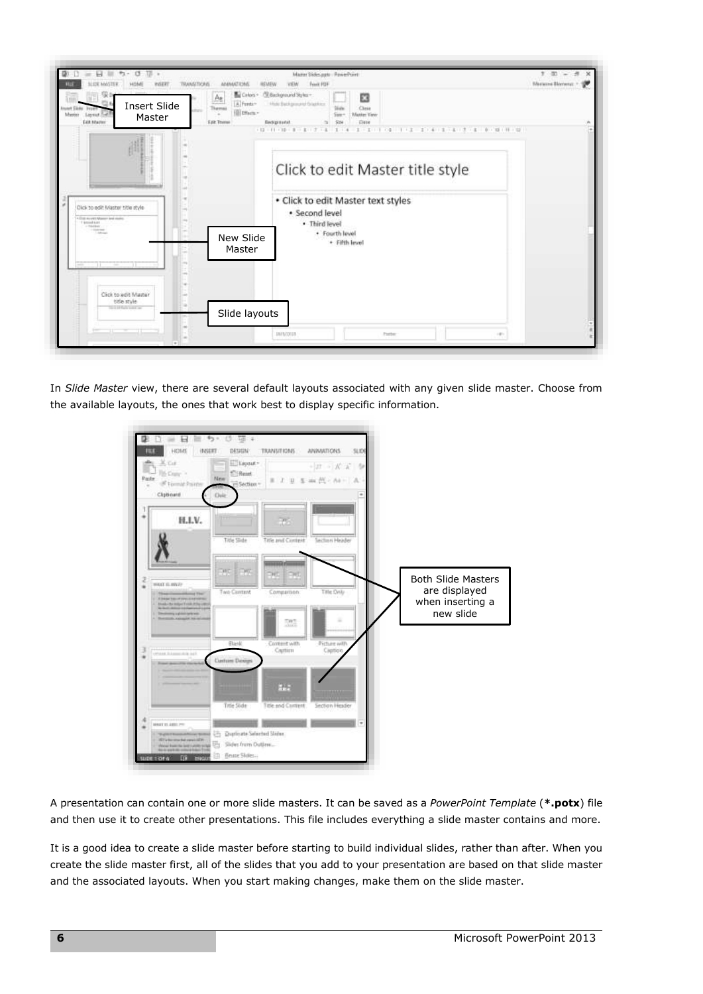

In *Slide Master* view, there are several default layouts associated with any given slide master. Choose from the available layouts, the ones that work best to display specific information.



A presentation can contain one or more slide masters. It can be saved as a *PowerPoint Template* (**\*.potx**) file and then use it to create other presentations. This file includes everything a slide master contains and more.

It is a good idea to create a slide master before starting to build individual slides, rather than after. When you create the slide master first, all of the slides that you add to your presentation are based on that slide master and the associated layouts. When you start making changes, make them on the slide master.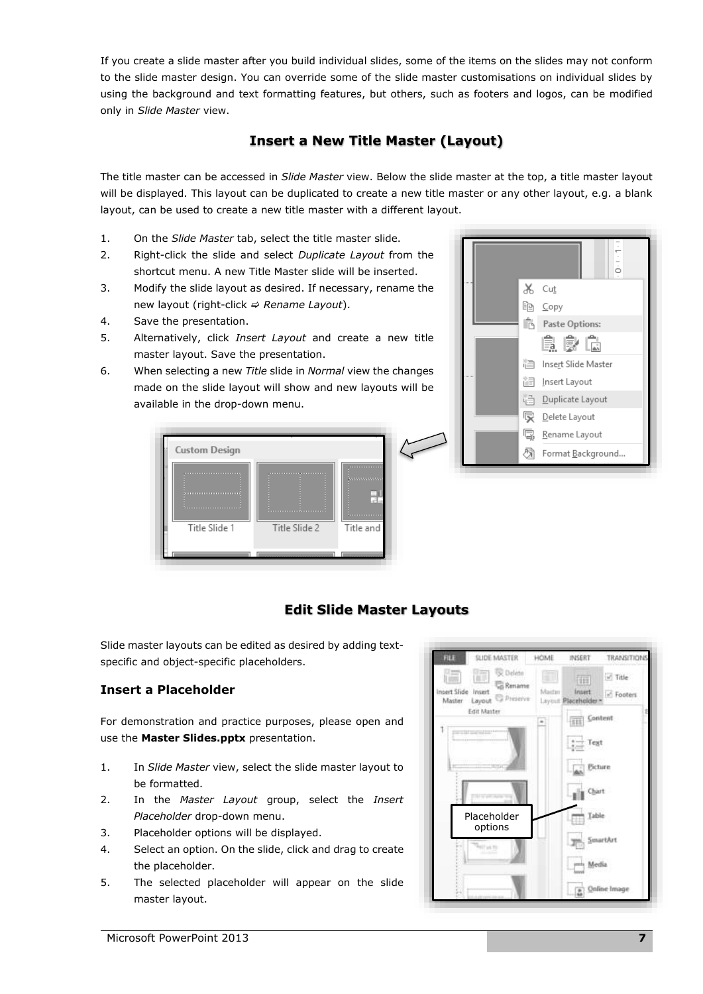If you create a slide master after you build individual slides, some of the items on the slides may not conform to the slide master design. You can override some of the slide master customisations on individual slides by using the background and text formatting features, but others, such as footers and [logos,](javascript:AppendPopup(this,) can be modified only in *Slide Master* view.

#### **Insert a New Title Master (Layout)**

<span id="page-14-0"></span>The title master can be accessed in *Slide Master* view. Below the slide master at the top, a title master layout will be displayed. This layout can be duplicated to create a new title master or any other layout, e.g. a blank layout, can be used to create a new title master with a different layout.

- 1. On the *Slide Master* tab, select the title master slide.
- 2. Right-click the slide and select *Duplicate Layout* from the shortcut menu. A new Title Master slide will be inserted.
- 3. Modify the slide layout as desired. If necessary, rename the new layout (right-click *→ Rename Layout*).
- 4. Save the presentation.
- 5. Alternatively, click *Insert Layout* and create a new title master layout. Save the presentation.
- 6. When selecting a new *Title* slide in *Normal* view the changes made on the slide layout will show and new layouts will be available in the drop-down menu.





#### **Edit Slide Master Layouts**

<span id="page-14-1"></span>Slide master layouts can be edited as desired by adding textspecific and object-specific placeholders.

#### <span id="page-14-2"></span>**Insert a Placeholder**

For demonstration and practice purposes, please open and use the **Master Slides.pptx** presentation.

- 1. In *Slide Master* view, select the slide master layout to be formatted.
- 2. In the *Master Layout* group, select the *Insert Placeholder* drop-down menu.
- 3. Placeholder options will be displayed.
- 4. Select an option. On the slide, click and drag to create the placeholder.
- 5. The selected placeholder will appear on the slide master layout.